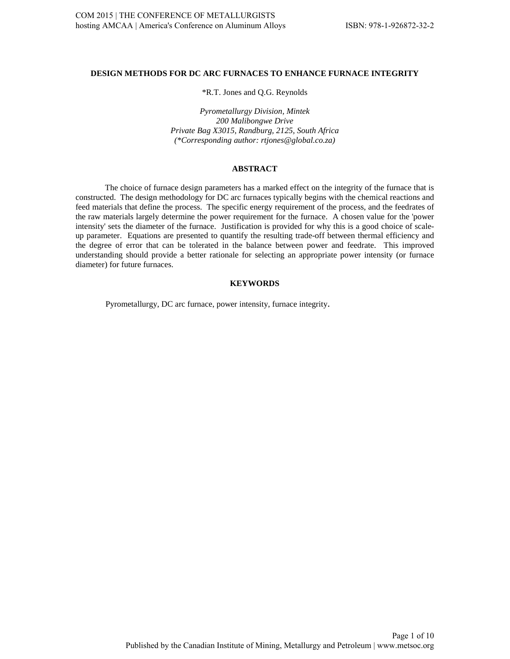## **DESIGN METHODS FOR DC ARC FURNACES TO ENHANCE FURNACE INTEGRITY**

\*R.T. Jones and Q.G. Reynolds

*Pyrometallurgy Division, Mintek 200 Malibongwe Drive Private Bag X3015, Randburg, 2125, South Africa (\*Corresponding author: rtjones@global.co.za)*

#### **ABSTRACT**

The choice of furnace design parameters has a marked effect on the integrity of the furnace that is constructed. The design methodology for DC arc furnaces typically begins with the chemical reactions and feed materials that define the process. The specific energy requirement of the process, and the feedrates of the raw materials largely determine the power requirement for the furnace. A chosen value for the 'power intensity' sets the diameter of the furnace. Justification is provided for why this is a good choice of scaleup parameter. Equations are presented to quantify the resulting trade-off between thermal efficiency and the degree of error that can be tolerated in the balance between power and feedrate. This improved understanding should provide a better rationale for selecting an appropriate power intensity (or furnace diameter) for future furnaces.

## **KEYWORDS**

Pyrometallurgy, DC arc furnace, power intensity, furnace integrity.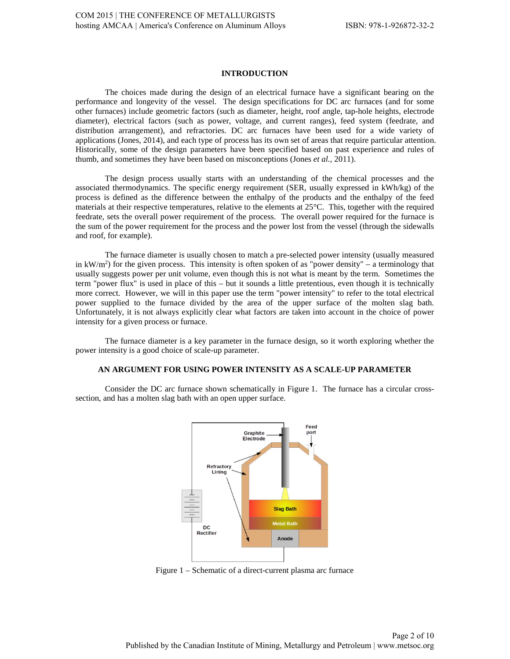# **INTRODUCTION**

The choices made during the design of an electrical furnace have a significant bearing on the performance and longevity of the vessel. The design specifications for DC arc furnaces (and for some other furnaces) include geometric factors (such as diameter, height, roof angle, tap-hole heights, electrode diameter), electrical factors (such as power, voltage, and current ranges), feed system (feedrate, and distribution arrangement), and refractories. DC arc furnaces have been used for a wide variety of applications (Jones, 2014), and each type of process has its own set of areas that require particular attention. Historically, some of the design parameters have been specified based on past experience and rules of thumb, and sometimes they have been based on misconceptions (Jones *et al.*, 2011).

The design process usually starts with an understanding of the chemical processes and the associated thermodynamics. The specific energy requirement (SER, usually expressed in kWh/kg) of the process is defined as the difference between the enthalpy of the products and the enthalpy of the feed materials at their respective temperatures, relative to the elements at 25°C. This, together with the required feedrate, sets the overall power requirement of the process. The overall power required for the furnace is the sum of the power requirement for the process and the power lost from the vessel (through the sidewalls and roof, for example).

The furnace diameter is usually chosen to match a pre-selected power intensity (usually measured in kW/m<sup>2</sup>) for the given process. This intensity is often spoken of as "power density" – a terminology that usually suggests power per unit volume, even though this is not what is meant by the term. Sometimes the term "power flux" is used in place of this – but it sounds a little pretentious, even though it is technically more correct. However, we will in this paper use the term "power intensity" to refer to the total electrical power supplied to the furnace divided by the area of the upper surface of the molten slag bath. Unfortunately, it is not always explicitly clear what factors are taken into account in the choice of power intensity for a given process or furnace.

The furnace diameter is a key parameter in the furnace design, so it worth exploring whether the power intensity is a good choice of scale-up parameter.

## **AN ARGUMENT FOR USING POWER INTENSITY AS A SCALE-UP PARAMETER**

Consider the DC arc furnace shown schematically in Figure 1. The furnace has a circular crosssection, and has a molten slag bath with an open upper surface.



Figure 1 – Schematic of a direct-current plasma arc furnace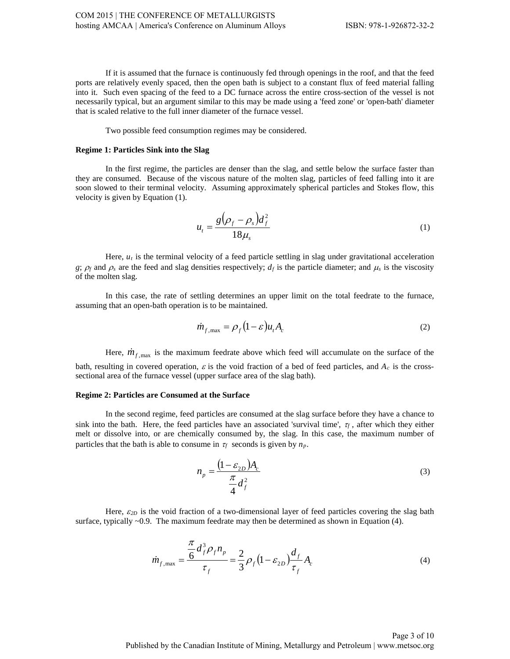If it is assumed that the furnace is continuously fed through openings in the roof, and that the feed ports are relatively evenly spaced, then the open bath is subject to a constant flux of feed material falling into it. Such even spacing of the feed to a DC furnace across the entire cross-section of the vessel is not necessarily typical, but an argument similar to this may be made using a 'feed zone' or 'open-bath' diameter that is scaled relative to the full inner diameter of the furnace vessel.

Two possible feed consumption regimes may be considered.

### **Regime 1: Particles Sink into the Slag**

In the first regime, the particles are denser than the slag, and settle below the surface faster than they are consumed. Because of the viscous nature of the molten slag, particles of feed falling into it are soon slowed to their terminal velocity. Assuming approximately spherical particles and Stokes flow, this velocity is given by Equation (1).

$$
u_t = \frac{g(\rho_f - \rho_s)d_f^2}{18\mu_s} \tag{1}
$$

Here, *ut* is the terminal velocity of a feed particle settling in slag under gravitational acceleration *g*;  $\rho_f$  and  $\rho_s$  are the feed and slag densities respectively;  $d_f$  is the particle diameter; and  $\mu_s$  is the viscosity of the molten slag.

In this case, the rate of settling determines an upper limit on the total feedrate to the furnace, assuming that an open-bath operation is to be maintained.

$$
\dot{m}_{f,\text{max}} = \rho_f (1 - \varepsilon) u_t A_c \tag{2}
$$

Here,  $\dot{m}_{f, \text{max}}$  is the maximum feedrate above which feed will accumulate on the surface of the bath, resulting in covered operation,  $\varepsilon$  is the void fraction of a bed of feed particles, and  $A_c$  is the crosssectional area of the furnace vessel (upper surface area of the slag bath).

#### **Regime 2: Particles are Consumed at the Surface**

In the second regime, feed particles are consumed at the slag surface before they have a chance to sink into the bath. Here, the feed particles have an associated 'survival time',  $\tau_f$ , after which they either melt or dissolve into, or are chemically consumed by, the slag. In this case, the maximum number of particles that the bath is able to consume in  $\tau_f$  seconds is given by  $n_p$ .

$$
n_p = \frac{\left(1 - \varepsilon_{2D}\right)A_c}{\frac{\pi}{4}d_f^2} \tag{3}
$$

Here,  $\varepsilon_{2D}$  is the void fraction of a two-dimensional layer of feed particles covering the slag bath surface, typically  $\sim 0.9$ . The maximum feedrate may then be determined as shown in Equation (4).

$$
\dot{m}_{f,\text{max}} = \frac{\frac{\pi}{6} d_f^3 \rho_f n_p}{\tau_f} = \frac{2}{3} \rho_f (1 - \varepsilon_{2D}) \frac{d_f}{\tau_f} A_c \tag{4}
$$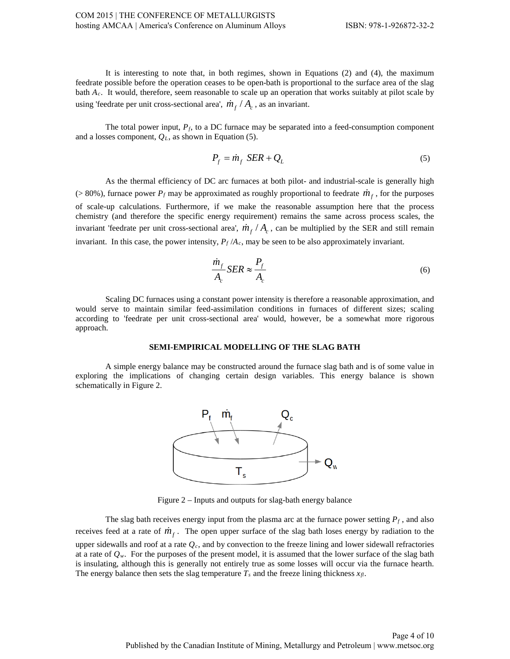It is interesting to note that, in both regimes, shown in Equations (2) and (4), the maximum feedrate possible before the operation ceases to be open-bath is proportional to the surface area of the slag bath *Ac*. It would, therefore, seem reasonable to scale up an operation that works suitably at pilot scale by using 'feedrate per unit cross-sectional area',  $\dot{m}_f / A_c$ , as an invariant.

The total power input,  $P_f$ , to a DC furnace may be separated into a feed-consumption component and a losses component, *QL*, as shown in Equation (5).

$$
P_f = \dot{m}_f \, \, SER + Q_L \tag{5}
$$

As the thermal efficiency of DC arc furnaces at both pilot- and industrial-scale is generally high ( $> 80\%$ ), furnace power  $P_f$  may be approximated as roughly proportional to feedrate  $\dot{m}_f$ , for the purposes of scale-up calculations. Furthermore, if we make the reasonable assumption here that the process chemistry (and therefore the specific energy requirement) remains the same across process scales, the invariant 'feedrate per unit cross-sectional area',  $\dot{m}_f / A_c$ , can be multiplied by the SER and still remain invariant. In this case, the power intensity,  $P_f/A_c$ , may be seen to be also approximately invariant.

$$
\frac{\dot{m}_f}{A_c} SER \approx \frac{P_f}{A_c} \tag{6}
$$

Scaling DC furnaces using a constant power intensity is therefore a reasonable approximation, and would serve to maintain similar feed-assimilation conditions in furnaces of different sizes; scaling according to 'feedrate per unit cross-sectional area' would, however, be a somewhat more rigorous approach.

### **SEMI-EMPIRICAL MODELLING OF THE SLAG BATH**

A simple energy balance may be constructed around the furnace slag bath and is of some value in exploring the implications of changing certain design variables. This energy balance is shown schematically in Figure 2.



Figure 2 – Inputs and outputs for slag-bath energy balance

The slag bath receives energy input from the plasma arc at the furnace power setting  $P_f$ , and also receives feed at a rate of  $m_f$ . The open upper surface of the slag bath loses energy by radiation to the upper sidewalls and roof at a rate *Qc*, and by convection to the freeze lining and lower sidewall refractories at a rate of  $Q_w$ . For the purposes of the present model, it is assumed that the lower surface of the slag bath is insulating, although this is generally not entirely true as some losses will occur via the furnace hearth. The energy balance then sets the slag temperature  $T_s$  and the freeze lining thickness  $x_{\eta}$ .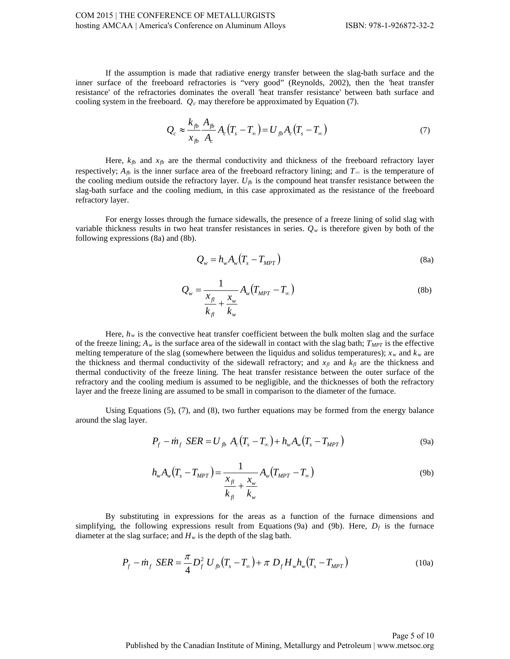If the assumption is made that radiative energy transfer between the slag-bath surface and the inner surface of the freeboard refractories is "very good" (Reynolds, 2002), then the 'heat transfer resistance' of the refractories dominates the overall 'heat transfer resistance' between bath surface and cooling system in the freeboard.  $Q_c$  may therefore be approximated by Equation (7).

$$
Q_c \approx \frac{k_{fb}}{x_{fb}} \frac{A_{fb}}{A_c} A_c (T_s - T_\infty) = U_{fb} A_c (T_s - T_\infty)
$$
\n(7)

Here,  $k_{fb}$  and  $x_{fb}$  are the thermal conductivity and thickness of the freeboard refractory layer respectively;  $A_{fb}$  is the inner surface area of the freeboard refractory lining; and  $T_{\infty}$  is the temperature of the cooling medium outside the refractory layer.  $U_{fb}$  is the compound heat transfer resistance between the slag-bath surface and the cooling medium, in this case approximated as the resistance of the freeboard refractory layer.

For energy losses through the furnace sidewalls, the presence of a freeze lining of solid slag with variable thickness results in two heat transfer resistances in series.  $Q_w$  is therefore given by both of the following expressions (8a) and (8b).

$$
Q_{\scriptscriptstyle W} = h_{\scriptscriptstyle W} A_{\scriptscriptstyle W} \left( T_s - T_{\scriptscriptstyle MPT} \right) \tag{8a}
$$

$$
Q_w = \frac{1}{\frac{x_{\scriptscriptstyle{A}}}{k_{\scriptscriptstyle{B}}} + \frac{x_w}{k_w}} A_w (T_{\scriptscriptstyle{MPT}} - T_\infty)
$$
\n(8b)

Here,  $h_w$  is the convective heat transfer coefficient between the bulk molten slag and the surface of the freeze lining;  $A_w$  is the surface area of the sidewall in contact with the slag bath;  $T_{MPT}$  is the effective melting temperature of the slag (somewhere between the liquidus and solidus temperatures);  $x_w$  and  $k_w$  are the thickness and thermal conductivity of the sidewall refractory; and  $x_{\eta}$  and  $k_{\eta}$  are the thickness and thermal conductivity of the freeze lining. The heat transfer resistance between the outer surface of the refractory and the cooling medium is assumed to be negligible, and the thicknesses of both the refractory layer and the freeze lining are assumed to be small in comparison to the diameter of the furnace.

Using Equations (5), (7), and (8), two further equations may be formed from the energy balance around the slag layer.

$$
P_f - \dot{m}_f \, \text{SER} = U_{fb} \, A_c (T_s - T_\infty) + h_w A_w (T_s - T_{MPT}) \tag{9a}
$$

$$
h_w A_w (T_s - T_{MPT}) = \frac{1}{\frac{x_{\scriptscriptstyle{f}}}{k_{\scriptscriptstyle{f}}} + \frac{x_w}{k_w}} A_w (T_{MPT} - T_\infty)
$$
\n(9b)

By substituting in expressions for the areas as a function of the furnace dimensions and simplifying, the following expressions result from Equations (9a) and (9b). Here,  $D_f$  is the furnace diameter at the slag surface; and  $H_w$  is the depth of the slag bath.

$$
P_f - \dot{m}_f \, \, SER = \frac{\pi}{4} D_f^2 \, U_{fb} \big( T_s - T_\infty \big) + \pi \, D_f H_w h_w \big( T_s - T_{MPT} \big) \tag{10a}
$$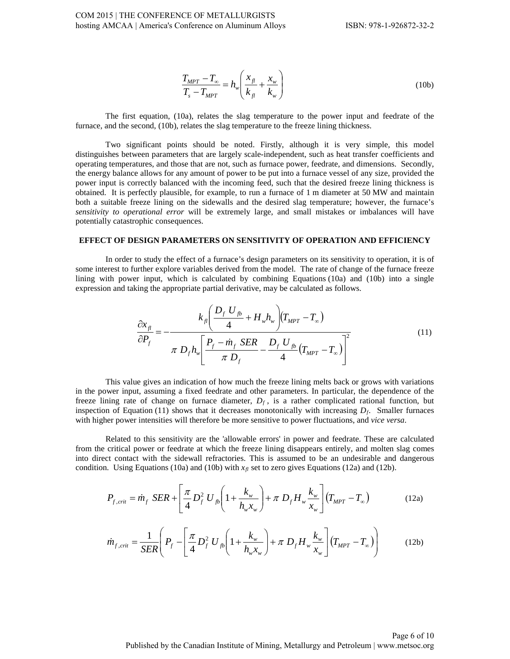$$
\frac{T_{MPT} - T_{\infty}}{T_s - T_{MPT}} = h_w \left( \frac{x_{fl}}{k_{fl}} + \frac{x_w}{k_w} \right)
$$
\n(10b)

The first equation, (10a), relates the slag temperature to the power input and feedrate of the furnace, and the second, (10b), relates the slag temperature to the freeze lining thickness.

Two significant points should be noted. Firstly, although it is very simple, this model distinguishes between parameters that are largely scale-independent, such as heat transfer coefficients and operating temperatures, and those that are not, such as furnace power, feedrate, and dimensions. Secondly, the energy balance allows for any amount of power to be put into a furnace vessel of any size, provided the power input is correctly balanced with the incoming feed, such that the desired freeze lining thickness is obtained. It is perfectly plausible, for example, to run a furnace of 1 m diameter at 50 MW and maintain both a suitable freeze lining on the sidewalls and the desired slag temperature; however, the furnace's *sensitivity to operational error* will be extremely large, and small mistakes or imbalances will have potentially catastrophic consequences.

#### **EFFECT OF DESIGN PARAMETERS ON SENSITIVITY OF OPERATION AND EFFICIENCY**

In order to study the effect of a furnace's design parameters on its sensitivity to operation, it is of some interest to further explore variables derived from the model. The rate of change of the furnace freeze lining with power input, which is calculated by combining Equations  $(10a)$  and  $(10b)$  into a single expression and taking the appropriate partial derivative, may be calculated as follows.

$$
\frac{\partial x_{\scriptscriptstyle f}}{\partial P_{\scriptscriptstyle f}} = -\frac{k_{\scriptscriptstyle f} \left( \frac{D_{\scriptscriptstyle f}}{4} U_{\scriptscriptstyle f} b_{\scriptscriptstyle w} + H_{\scriptscriptstyle w} h_{\scriptscriptstyle w} \right) (T_{\scriptscriptstyle MPT} - T_{\scriptscriptstyle \infty})}{\pi D_{\scriptscriptstyle f} h_{\scriptscriptstyle w} \left[ \frac{P_{\scriptscriptstyle f} - \dot{m}_{\scriptscriptstyle f} \, SER}{\pi D_{\scriptscriptstyle f}} - \frac{D_{\scriptscriptstyle f} \, U_{\scriptscriptstyle f} b}{4} (T_{\scriptscriptstyle MPT} - T_{\scriptscriptstyle \infty}) \right]^2}
$$
\n(11)

This value gives an indication of how much the freeze lining melts back or grows with variations in the power input, assuming a fixed feedrate and other parameters. In particular, the dependence of the freeze lining rate of change on furnace diameter,  $D_f$ , is a rather complicated rational function, but inspection of Equation (11) shows that it decreases monotonically with increasing  $D_f$ . Smaller furnaces with higher power intensities will therefore be more sensitive to power fluctuations, and *vice versa*.

Related to this sensitivity are the 'allowable errors' in power and feedrate. These are calculated from the critical power or feedrate at which the freeze lining disappears entirely, and molten slag comes into direct contact with the sidewall refractories. This is assumed to be an undesirable and dangerous condition. Using Equations (10a) and (10b) with  $x<sub>f</sub>$  set to zero gives Equations (12a) and (12b).

$$
P_{f,crit} = \dot{m}_f \, \, SER + \left[ \frac{\pi}{4} D_f^2 \, U_{fb} \left( 1 + \frac{k_w}{h_w x_w} \right) + \pi \, D_f H_w \frac{k_w}{x_w} \right] \left( T_{MPT} - T_{\infty} \right) \tag{12a}
$$

$$
\dot{m}_{f,crit} = \frac{1}{SER} \left( P_f - \left[ \frac{\pi}{4} D_f^2 U_{fb} \left( 1 + \frac{k_w}{h_w x_w} \right) + \pi D_f H_w \frac{k_w}{x_w} \right] \left( T_{MPT} - T_\infty \right) \right) \tag{12b}
$$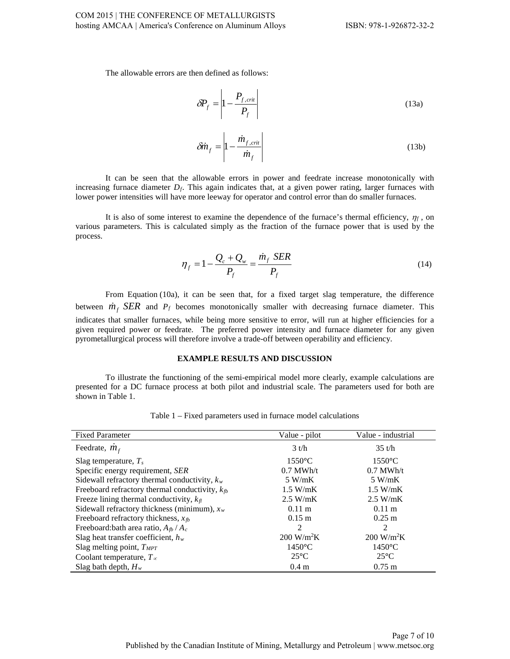The allowable errors are then defined as follows:

$$
\delta P_f = \left| 1 - \frac{P_{f,crit}}{P_f} \right| \tag{13a}
$$

$$
\delta \dot{m}_f = \left| 1 - \frac{\dot{m}_{f,crit}}{\dot{m}_f} \right| \tag{13b}
$$

It can be seen that the allowable errors in power and feedrate increase monotonically with increasing furnace diameter *Df*. This again indicates that, at a given power rating, larger furnaces with lower power intensities will have more leeway for operator and control error than do smaller furnaces.

It is also of some interest to examine the dependence of the furnace's thermal efficiency,  $\eta_f$ , on various parameters. This is calculated simply as the fraction of the furnace power that is used by the process.

$$
\eta_f = 1 - \frac{Q_c + Q_w}{P_f} = \frac{\dot{m}_f \, SER}{P_f} \tag{14}
$$

From Equation (10a), it can be seen that, for a fixed target slag temperature, the difference between  $\dot{m}_f$  *SER* and  $P_f$  becomes monotonically smaller with decreasing furnace diameter. This indicates that smaller furnaces, while being more sensitive to error, will run at higher efficiencies for a given required power or feedrate. The preferred power intensity and furnace diameter for any given pyrometallurgical process will therefore involve a trade-off between operability and efficiency.

## **EXAMPLE RESULTS AND DISCUSSION**

To illustrate the functioning of the semi-empirical model more clearly, example calculations are presented for a DC furnace process at both pilot and industrial scale. The parameters used for both are shown in Table 1.

| <b>Fixed Parameter</b>                              | Value - pilot               | Value - industrial          |
|-----------------------------------------------------|-----------------------------|-----------------------------|
| Feedrate, $\dot{m}_f$                               | $3$ t/h                     | $35$ t/h                    |
| Slag temperature, $T_s$                             | $1550^{\circ}$ C            | $1550^{\circ}$ C            |
| Specific energy requirement, SER                    | $0.7$ MWh/t                 | $0.7$ MWh/t                 |
| Sidewall refractory thermal conductivity, $k_w$     | 5 W/mK                      | 5 W/mK                      |
| Freeboard refractory thermal conductivity, $k_{fb}$ | $1.5$ W/mK                  | $1.5$ W/mK                  |
| Freeze lining thermal conductivity, $k_{\text{fl}}$ | $2.5$ W/mK                  | $2.5$ W/mK                  |
| Sidewall refractory thickness (minimum), $x_w$      | $0.11 \text{ m}$            | $0.11 \text{ m}$            |
| Freeboard refractory thickness, $x_{fb}$            | $0.15 \text{ m}$            | $0.25 \text{ m}$            |
| Freeboard: bath area ratio, $A_{fb} / A_c$          | $\mathfrak{D}$              | 2                           |
| Slag heat transfer coefficient, $h_w$               | $200 \text{ W/m}^2\text{K}$ | $200 \text{ W/m}^2\text{K}$ |
| Slag melting point, $T_{MPT}$                       | $1450^{\circ}$ C            | $1450^{\circ}$ C            |
| Coolant temperature, $T_{\infty}$                   | $25^{\circ}$ C              | $25^{\circ}$ C              |
| Slag bath depth, $H_w$                              | 0.4 <sub>m</sub>            | $0.75 \text{ m}$            |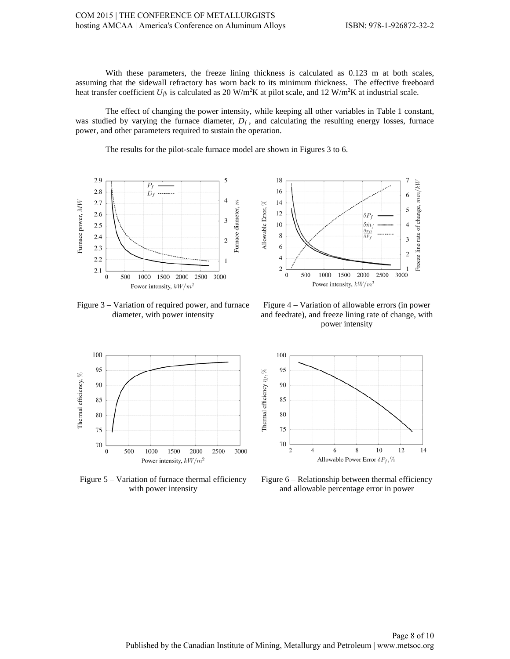7

6

5

With these parameters, the freeze lining thickness is calculated as 0.123 m at both scales, assuming that the sidewall refractory has worn back to its minimum thickness. The effective freeboard heat transfer coefficient  $U_{fb}$  is calculated as 20 W/m<sup>2</sup>K at pilot scale, and 12 W/m<sup>2</sup>K at industrial scale.

The effect of changing the power intensity, while keeping all other variables in Table 1 constant, was studied by varying the furnace diameter,  $D_f$ , and calculating the resulting energy losses, furnace power, and other parameters required to sustain the operation.

18

16

 $14$ 

12

The results for the pilot-scale furnace model are shown in Figures 3 to 6.



Freeze line rate of change, mm/kW Allowable Error, % 10  $\overline{4}$  $\delta \dot{m}$  $\frac{\partial x_f}{\partial P}$ 8 3 6  $\overline{\mathbf{c}}$  $\overline{4}$  $\overline{c}$ 1  $\boldsymbol{0}$ 500 1000 1500 2000 2500 3000 Power intensity,  $kW/m^2$ 

 $\delta P$ 

Figure 3 – Variation of required power, and furnace diameter, with power intensity

Figure 4 – Variation of allowable errors (in power and feedrate), and freeze lining rate of change, with power intensity



Figure 5 – Variation of furnace thermal efficiency with power intensity



Figure 6 – Relationship between thermal efficiency and allowable percentage error in power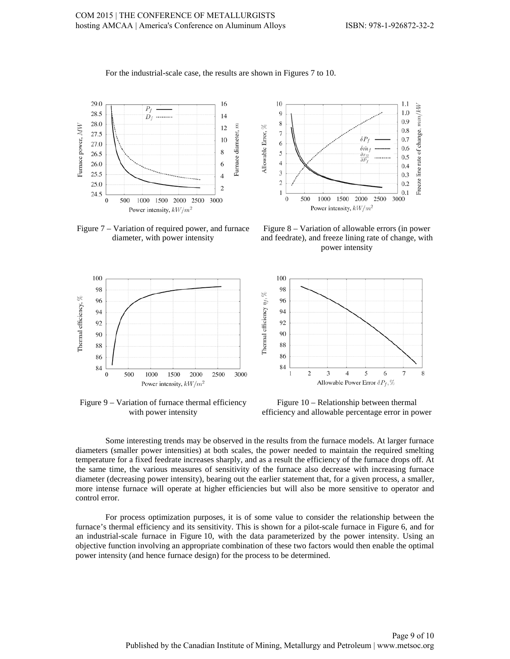

For the industrial-scale case, the results are shown in Figures 7 to 10.

Figure 7 – Variation of required power, and furnace diameter, with power intensity



Figure 9 – Variation of furnace thermal efficiency with power intensity



Figure 8 – Variation of allowable errors (in power and feedrate), and freeze lining rate of change, with power intensity



Figure 10 – Relationship between thermal efficiency and allowable percentage error in power

Some interesting trends may be observed in the results from the furnace models. At larger furnace diameters (smaller power intensities) at both scales, the power needed to maintain the required smelting temperature for a fixed feedrate increases sharply, and as a result the efficiency of the furnace drops off. At the same time, the various measures of sensitivity of the furnace also decrease with increasing furnace diameter (decreasing power intensity), bearing out the earlier statement that, for a given process, a smaller, more intense furnace will operate at higher efficiencies but will also be more sensitive to operator and control error.

For process optimization purposes, it is of some value to consider the relationship between the furnace's thermal efficiency and its sensitivity. This is shown for a pilot-scale furnace in Figure 6, and for an industrial-scale furnace in Figure 10, with the data parameterized by the power intensity. Using an objective function involving an appropriate combination of these two factors would then enable the optimal power intensity (and hence furnace design) for the process to be determined.